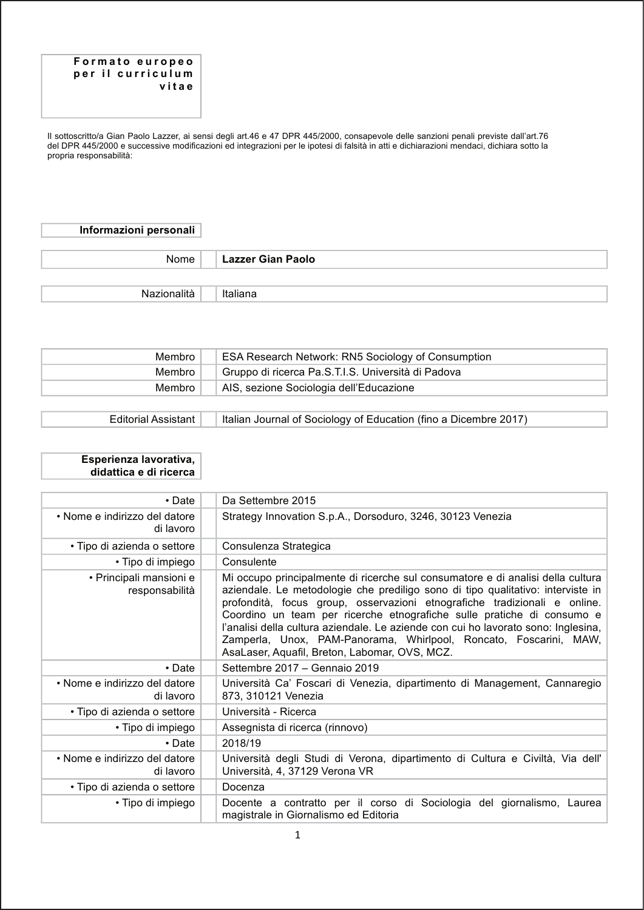#### Formato europeo per il curriculum vitae

Il sottoscritto/a Gian Paolo Lazzer, ai sensi degli art.46 e 47 DPR 445/2000, consapevole delle sanzioni penali previste dall'art.76 del DPR 445/2000 e successive modificazioni ed integrazioni per le ipotesi di falsità in atti e dichiarazioni mendaci, dichiara sotto la propria responsabilità:

#### Informazioni personali

| Nome        | Lazzer Gian Paolo |
|-------------|-------------------|
|             |                   |
| Nazionalità | Italiana          |

| Membro | <b>ESA Research Network: RN5 Sociology of Consumption</b> |
|--------|-----------------------------------------------------------|
| Membro | Gruppo di ricerca Pa.S.T.I.S. Università di Padova        |
| Membro | AIS, sezione Sociologia dell'Educazione                   |
|        |                                                           |

**Editorial Assistant** Italian Journal of Sociology of Education (fino a Dicembre 2017)

### Esperienza lavorativa, didattica e di ricerca

| $\cdot$ Date                               | Da Settembre 2015                                                                                                                                                                                                                                                                                                                                                                                                                                                                                                                     |
|--------------------------------------------|---------------------------------------------------------------------------------------------------------------------------------------------------------------------------------------------------------------------------------------------------------------------------------------------------------------------------------------------------------------------------------------------------------------------------------------------------------------------------------------------------------------------------------------|
| • Nome e indirizzo del datore<br>di lavoro | Strategy Innovation S.p.A., Dorsoduro, 3246, 30123 Venezia                                                                                                                                                                                                                                                                                                                                                                                                                                                                            |
| • Tipo di azienda o settore                | Consulenza Strategica                                                                                                                                                                                                                                                                                                                                                                                                                                                                                                                 |
| · Tipo di impiego                          | Consulente                                                                                                                                                                                                                                                                                                                                                                                                                                                                                                                            |
| • Principali mansioni e<br>responsabilità  | Mi occupo principalmente di ricerche sul consumatore e di analisi della cultura<br>aziendale. Le metodologie che prediligo sono di tipo qualitativo: interviste in<br>profondità, focus group, osservazioni etnografiche tradizionali e online.<br>Coordino un team per ricerche etnografiche sulle pratiche di consumo e<br>l'analisi della cultura aziendale. Le aziende con cui ho lavorato sono: Inglesina,<br>Zamperla, Unox, PAM-Panorama, Whirlpool, Roncato, Foscarini, MAW,<br>AsaLaser, Aquafil, Breton, Labomar, OVS, MCZ. |
| $\cdot$ Date                               | Settembre 2017 - Gennaio 2019                                                                                                                                                                                                                                                                                                                                                                                                                                                                                                         |
| • Nome e indirizzo del datore<br>di lavoro | Università Ca' Foscari di Venezia, dipartimento di Management, Cannaregio<br>873, 310121 Venezia                                                                                                                                                                                                                                                                                                                                                                                                                                      |
| • Tipo di azienda o settore                | Università - Ricerca                                                                                                                                                                                                                                                                                                                                                                                                                                                                                                                  |
| • Tipo di impiego                          | Assegnista di ricerca (rinnovo)                                                                                                                                                                                                                                                                                                                                                                                                                                                                                                       |
| $\cdot$ Date                               | 2018/19                                                                                                                                                                                                                                                                                                                                                                                                                                                                                                                               |
| • Nome e indirizzo del datore<br>di lavoro | Università degli Studi di Verona, dipartimento di Cultura e Civiltà, Via dell'<br>Università, 4, 37129 Verona VR                                                                                                                                                                                                                                                                                                                                                                                                                      |
| • Tipo di azienda o settore                | Docenza                                                                                                                                                                                                                                                                                                                                                                                                                                                                                                                               |
| • Tipo di impiego                          | Docente a contratto per il corso di Sociologia del giornalismo, Laurea<br>magistrale in Giornalismo ed Editoria                                                                                                                                                                                                                                                                                                                                                                                                                       |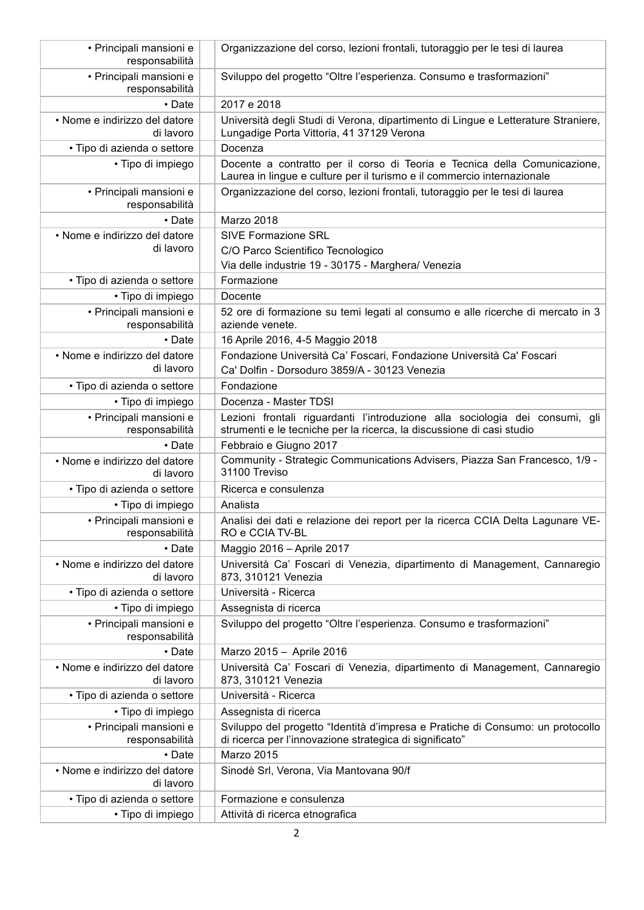| • Principali mansioni e<br>responsabilità  | Organizzazione del corso, lezioni frontali, tutoraggio per le tesi di laurea                                                                          |
|--------------------------------------------|-------------------------------------------------------------------------------------------------------------------------------------------------------|
| · Principali mansioni e<br>responsabilità  | Sviluppo del progetto "Oltre l'esperienza. Consumo e trasformazioni"                                                                                  |
| • Date                                     | 2017 e 2018                                                                                                                                           |
| • Nome e indirizzo del datore<br>di lavoro | Università degli Studi di Verona, dipartimento di Lingue e Letterature Straniere,<br>Lungadige Porta Vittoria, 41 37129 Verona                        |
| · Tipo di azienda o settore                | Docenza                                                                                                                                               |
| · Tipo di impiego                          | Docente a contratto per il corso di Teoria e Tecnica della Comunicazione,<br>Laurea in lingue e culture per il turismo e il commercio internazionale  |
| · Principali mansioni e<br>responsabilità  | Organizzazione del corso, lezioni frontali, tutoraggio per le tesi di laurea                                                                          |
| • Date                                     | Marzo 2018                                                                                                                                            |
| • Nome e indirizzo del datore              | <b>SIVE Formazione SRL</b>                                                                                                                            |
| di lavoro                                  | C/O Parco Scientifico Tecnologico                                                                                                                     |
|                                            | Via delle industrie 19 - 30175 - Marghera/ Venezia                                                                                                    |
| • Tipo di azienda o settore                | Formazione                                                                                                                                            |
| · Tipo di impiego                          | Docente                                                                                                                                               |
| · Principali mansioni e<br>responsabilità  | 52 ore di formazione su temi legati al consumo e alle ricerche di mercato in 3<br>aziende venete.                                                     |
| • Date                                     | 16 Aprile 2016, 4-5 Maggio 2018                                                                                                                       |
| • Nome e indirizzo del datore<br>di lavoro | Fondazione Università Ca' Foscari, Fondazione Università Ca' Foscari<br>Ca' Dolfin - Dorsoduro 3859/A - 30123 Venezia                                 |
| · Tipo di azienda o settore                | Fondazione                                                                                                                                            |
| · Tipo di impiego                          | Docenza - Master TDSI                                                                                                                                 |
| · Principali mansioni e<br>responsabilità  | Lezioni frontali riguardanti l'introduzione alla sociologia dei consumi, gli<br>strumenti e le tecniche per la ricerca, la discussione di casi studio |
| • Date                                     | Febbraio e Giugno 2017                                                                                                                                |
| • Nome e indirizzo del datore<br>di lavoro | Community - Strategic Communications Advisers, Piazza San Francesco, 1/9 -<br>31100 Treviso                                                           |
| · Tipo di azienda o settore                | Ricerca e consulenza                                                                                                                                  |
| • Tipo di impiego                          | Analista                                                                                                                                              |
| • Principali mansioni e<br>responsabilità  | Analisi dei dati e relazione dei report per la ricerca CCIA Delta Lagunare VE-<br>RO e CCIA TV-BL                                                     |
| • Date                                     | Maggio 2016 - Aprile 2017                                                                                                                             |
| • Nome e indirizzo del datore<br>di lavoro | Università Ca' Foscari di Venezia, dipartimento di Management, Cannaregio<br>873, 310121 Venezia                                                      |
| · Tipo di azienda o settore                | Università - Ricerca                                                                                                                                  |
| • Tipo di impiego                          | Assegnista di ricerca                                                                                                                                 |
| · Principali mansioni e<br>responsabilità  | Sviluppo del progetto "Oltre l'esperienza. Consumo e trasformazioni"                                                                                  |
| • Date                                     | Marzo 2015 - Aprile 2016                                                                                                                              |
| · Nome e indirizzo del datore<br>di lavoro | Università Ca' Foscari di Venezia, dipartimento di Management, Cannaregio<br>873, 310121 Venezia                                                      |
| · Tipo di azienda o settore                | Università - Ricerca                                                                                                                                  |
| · Tipo di impiego                          | Assegnista di ricerca                                                                                                                                 |
| · Principali mansioni e<br>responsabilità  | Sviluppo del progetto "Identità d'impresa e Pratiche di Consumo: un protocollo<br>di ricerca per l'innovazione strategica di significato"             |
| • Date                                     | Marzo 2015                                                                                                                                            |
| • Nome e indirizzo del datore<br>di lavoro | Sinodè Srl, Verona, Via Mantovana 90/f                                                                                                                |
| · Tipo di azienda o settore                | Formazione e consulenza                                                                                                                               |
| · Tipo di impiego                          | Attività di ricerca etnografica                                                                                                                       |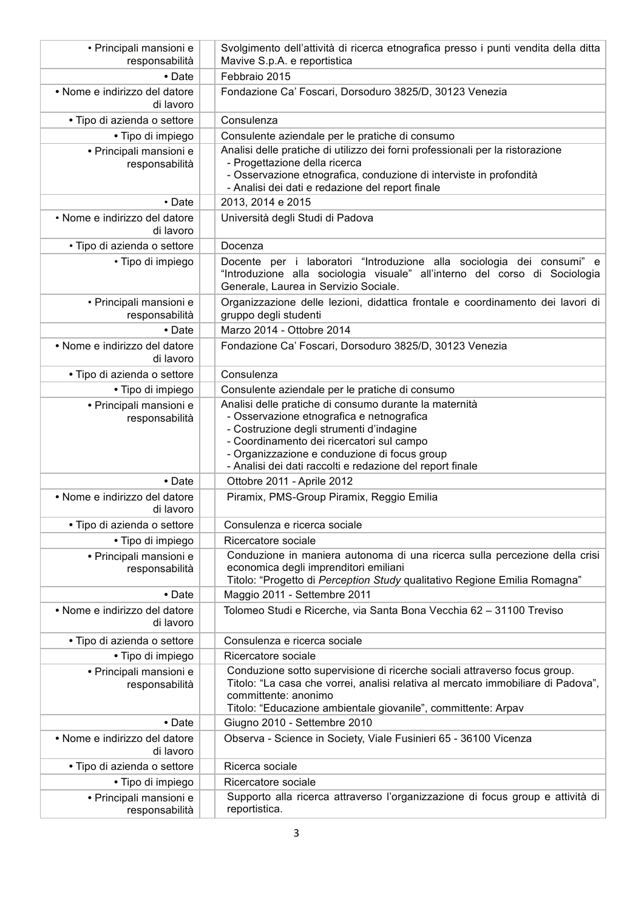| · Principali mansioni e<br>responsabilità  | Svolgimento dell'attività di ricerca etnografica presso i punti vendita della ditta<br>Mavive S.p.A. e reportistica                                                                                                                                                                                       |
|--------------------------------------------|-----------------------------------------------------------------------------------------------------------------------------------------------------------------------------------------------------------------------------------------------------------------------------------------------------------|
| • Date                                     | Febbraio 2015                                                                                                                                                                                                                                                                                             |
| • Nome e indirizzo del datore<br>di lavoro | Fondazione Ca' Foscari, Dorsoduro 3825/D, 30123 Venezia                                                                                                                                                                                                                                                   |
| · Tipo di azienda o settore                | Consulenza                                                                                                                                                                                                                                                                                                |
| • Tipo di impiego                          | Consulente aziendale per le pratiche di consumo                                                                                                                                                                                                                                                           |
| • Principali mansioni e<br>responsabilità  | Analisi delle pratiche di utilizzo dei forni professionali per la ristorazione<br>- Progettazione della ricerca<br>- Osservazione etnografica, conduzione di interviste in profondità<br>- Analisi dei dati e redazione del report finale                                                                 |
| • Date                                     | 2013, 2014 e 2015                                                                                                                                                                                                                                                                                         |
| • Nome e indirizzo del datore<br>di lavoro | Università degli Studi di Padova                                                                                                                                                                                                                                                                          |
| · Tipo di azienda o settore                | Docenza                                                                                                                                                                                                                                                                                                   |
| • Tipo di impiego                          | Docente per i laboratori "Introduzione alla sociologia dei consumi" e<br>"Introduzione alla sociologia visuale" all'interno del corso di Sociologia<br>Generale, Laurea in Servizio Sociale.                                                                                                              |
| • Principali mansioni e<br>responsabilità  | Organizzazione delle lezioni, didattica frontale e coordinamento dei lavori di<br>gruppo degli studenti                                                                                                                                                                                                   |
| $\bullet$ Date                             | Marzo 2014 - Ottobre 2014                                                                                                                                                                                                                                                                                 |
| • Nome e indirizzo del datore<br>di lavoro | Fondazione Ca' Foscari, Dorsoduro 3825/D, 30123 Venezia                                                                                                                                                                                                                                                   |
| • Tipo di azienda o settore                | Consulenza                                                                                                                                                                                                                                                                                                |
| • Tipo di impiego                          | Consulente aziendale per le pratiche di consumo                                                                                                                                                                                                                                                           |
| · Principali mansioni e<br>responsabilità  | Analisi delle pratiche di consumo durante la maternità<br>- Osservazione etnografica e netnografica<br>- Costruzione degli strumenti d'indagine<br>- Coordinamento dei ricercatori sul campo<br>- Organizzazione e conduzione di focus group<br>- Analisi dei dati raccolti e redazione del report finale |
| $\bullet$ Date                             | Ottobre 2011 - Aprile 2012                                                                                                                                                                                                                                                                                |
| · Nome e indirizzo del datore<br>di lavoro | Piramix, PMS-Group Piramix, Reggio Emilia                                                                                                                                                                                                                                                                 |
| Tipo di azienda o settore                  | Consulenza e ricerca sociale                                                                                                                                                                                                                                                                              |
| · Tipo di impiego                          | Ricercatore sociale                                                                                                                                                                                                                                                                                       |
| • Principali mansioni e<br>responsabilità  | Conduzione in maniera autonoma di una ricerca sulla percezione della crisi<br>economica degli imprenditori emiliani<br>Titolo: "Progetto di Perception Study qualitativo Regione Emilia Romagna"                                                                                                          |
| • Date                                     | Maggio 2011 - Settembre 2011                                                                                                                                                                                                                                                                              |
| • Nome e indirizzo del datore<br>di lavoro | Tolomeo Studi e Ricerche, via Santa Bona Vecchia 62 - 31100 Treviso                                                                                                                                                                                                                                       |
| · Tipo di azienda o settore                | Consulenza e ricerca sociale                                                                                                                                                                                                                                                                              |
| · Tipo di impiego                          | Ricercatore sociale                                                                                                                                                                                                                                                                                       |
| • Principali mansioni e<br>responsabilità  | Conduzione sotto supervisione di ricerche sociali attraverso focus group.<br>Titolo: "La casa che vorrei, analisi relativa al mercato immobiliare di Padova",<br>committente: anonimo<br>Titolo: "Educazione ambientale giovanile", committente: Arpav                                                    |
| • Date                                     | Giugno 2010 - Settembre 2010                                                                                                                                                                                                                                                                              |
| • Nome e indirizzo del datore<br>di lavoro | Observa - Science in Society, Viale Fusinieri 65 - 36100 Vicenza                                                                                                                                                                                                                                          |
| • Tipo di azienda o settore                | Ricerca sociale                                                                                                                                                                                                                                                                                           |
| • Tipo di impiego                          | Ricercatore sociale                                                                                                                                                                                                                                                                                       |
| · Principali mansioni e<br>responsabilità  | Supporto alla ricerca attraverso l'organizzazione di focus group e attività di<br>reportistica.                                                                                                                                                                                                           |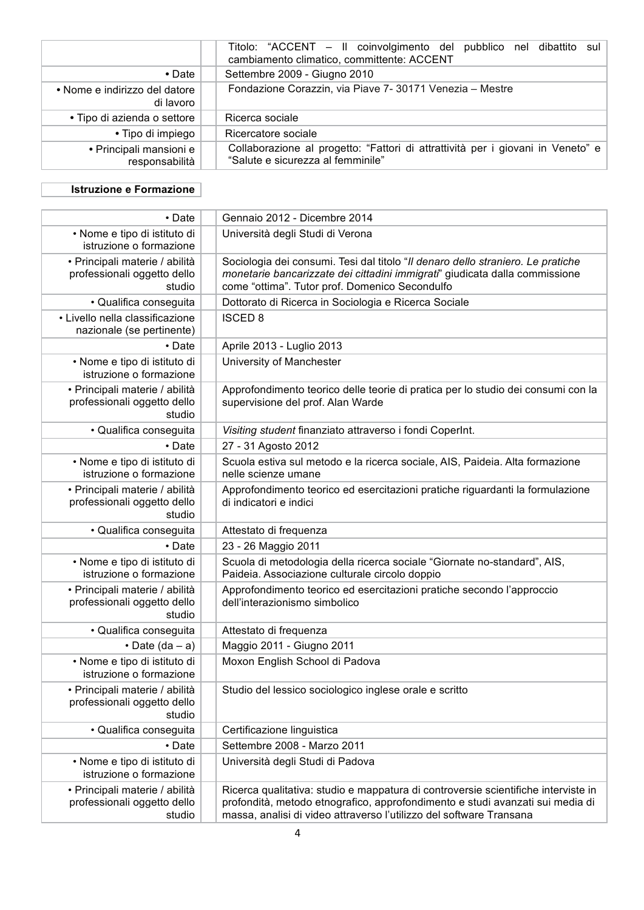|                                            | Titolo: "ACCENT - Il coinvolgimento del pubblico nel dibattito sul<br>cambiamento climatico, committente: ACCENT     |
|--------------------------------------------|----------------------------------------------------------------------------------------------------------------------|
| $\bullet$ Date                             | Settembre 2009 - Giugno 2010                                                                                         |
| • Nome e indirizzo del datore<br>di lavoro | Fondazione Corazzin, via Piave 7- 30171 Venezia - Mestre                                                             |
| • Tipo di azienda o settore                | Ricerca sociale                                                                                                      |
| • Tipo di impiego                          | Ricercatore sociale                                                                                                  |
| • Principali mansioni e<br>responsabilità  | Collaborazione al progetto: "Fattori di attrattività per i giovani in Veneto" e<br>"Salute e sicurezza al femminile" |

## **Istruzione e Formazione**

| $\cdot$ Date                                                            | Gennaio 2012 - Dicembre 2014                                                                                                                                                                                                               |
|-------------------------------------------------------------------------|--------------------------------------------------------------------------------------------------------------------------------------------------------------------------------------------------------------------------------------------|
| • Nome e tipo di istituto di<br>istruzione o formazione                 | Università degli Studi di Verona                                                                                                                                                                                                           |
| · Principali materie / abilità<br>professionali oggetto dello<br>studio | Sociologia dei consumi. Tesi dal titolo "Il denaro dello straniero. Le pratiche<br>monetarie bancarizzate dei cittadini immigrati" giudicata dalla commissione<br>come "ottima". Tutor prof. Domenico Secondulfo                           |
| · Qualifica conseguita                                                  | Dottorato di Ricerca in Sociologia e Ricerca Sociale                                                                                                                                                                                       |
| · Livello nella classificazione<br>nazionale (se pertinente)            | <b>ISCED 8</b>                                                                                                                                                                                                                             |
| • Date                                                                  | Aprile 2013 - Luglio 2013                                                                                                                                                                                                                  |
| • Nome e tipo di istituto di<br>istruzione o formazione                 | University of Manchester                                                                                                                                                                                                                   |
| · Principali materie / abilità<br>professionali oggetto dello<br>studio | Approfondimento teorico delle teorie di pratica per lo studio dei consumi con la<br>supervisione del prof. Alan Warde                                                                                                                      |
| · Qualifica conseguita                                                  | Visiting student finanziato attraverso i fondi CoperInt.                                                                                                                                                                                   |
| • Date                                                                  | 27 - 31 Agosto 2012                                                                                                                                                                                                                        |
| • Nome e tipo di istituto di<br>istruzione o formazione                 | Scuola estiva sul metodo e la ricerca sociale, AIS, Paideia. Alta formazione<br>nelle scienze umane                                                                                                                                        |
| · Principali materie / abilità<br>professionali oggetto dello<br>studio | Approfondimento teorico ed esercitazioni pratiche riguardanti la formulazione<br>di indicatori e indici                                                                                                                                    |
| · Qualifica conseguita                                                  | Attestato di frequenza                                                                                                                                                                                                                     |
| • Date                                                                  | 23 - 26 Maggio 2011                                                                                                                                                                                                                        |
| · Nome e tipo di istituto di<br>istruzione o formazione                 | Scuola di metodologia della ricerca sociale "Giornate no-standard", AIS,<br>Paideia. Associazione culturale circolo doppio                                                                                                                 |
| · Principali materie / abilità<br>professionali oggetto dello<br>studio | Approfondimento teorico ed esercitazioni pratiche secondo l'approccio<br>dell'interazionismo simbolico                                                                                                                                     |
| · Qualifica conseguita                                                  | Attestato di frequenza                                                                                                                                                                                                                     |
| • Date $(da - a)$                                                       | Maggio 2011 - Giugno 2011                                                                                                                                                                                                                  |
| • Nome e tipo di istituto di<br>istruzione o formazione                 | Moxon English School di Padova                                                                                                                                                                                                             |
| • Principali materie / abilità<br>professionali oggetto dello<br>studio | Studio del lessico sociologico inglese orale e scritto                                                                                                                                                                                     |
| · Qualifica conseguita                                                  | Certificazione linguistica                                                                                                                                                                                                                 |
| • Date                                                                  | Settembre 2008 - Marzo 2011                                                                                                                                                                                                                |
| • Nome e tipo di istituto di<br>istruzione o formazione                 | Università degli Studi di Padova                                                                                                                                                                                                           |
| · Principali materie / abilità<br>professionali oggetto dello<br>studio | Ricerca qualitativa: studio e mappatura di controversie scientifiche interviste in<br>profondità, metodo etnografico, approfondimento e studi avanzati sui media di<br>massa, analisi di video attraverso l'utilizzo del software Transana |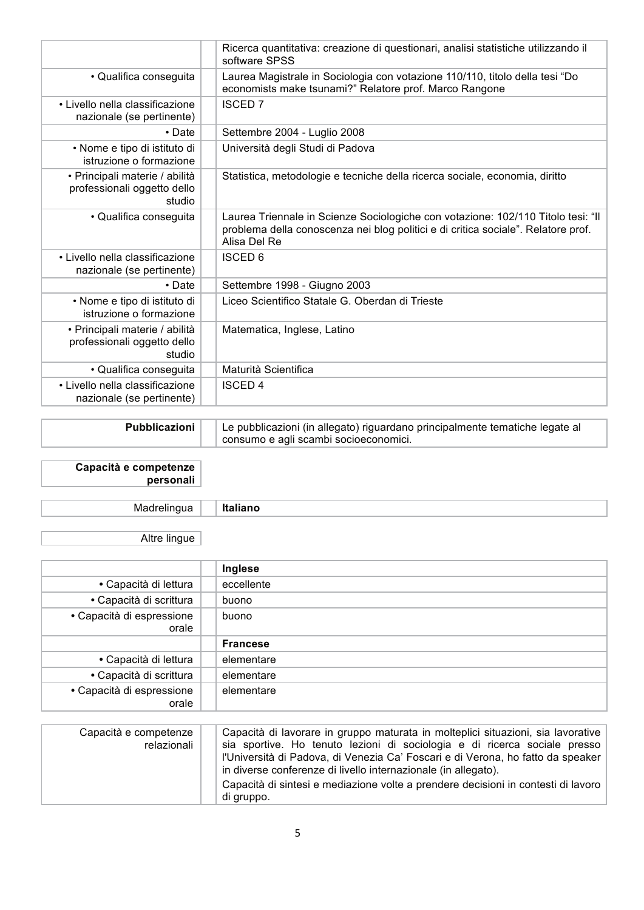|                                                                         | Ricerca quantitativa: creazione di questionari, analisi statistiche utilizzando il<br>software SPSS                                                                                   |
|-------------------------------------------------------------------------|---------------------------------------------------------------------------------------------------------------------------------------------------------------------------------------|
| · Qualifica conseguita                                                  | Laurea Magistrale in Sociologia con votazione 110/110, titolo della tesi "Do<br>economists make tsunami?" Relatore prof. Marco Rangone                                                |
| • Livello nella classificazione<br>nazionale (se pertinente)            | <b>ISCED 7</b>                                                                                                                                                                        |
| • Date                                                                  | Settembre 2004 - Luglio 2008                                                                                                                                                          |
| • Nome e tipo di istituto di<br>istruzione o formazione                 | Università degli Studi di Padova                                                                                                                                                      |
| · Principali materie / abilità<br>professionali oggetto dello<br>studio | Statistica, metodologie e tecniche della ricerca sociale, economia, diritto                                                                                                           |
| • Qualifica conseguita                                                  | Laurea Triennale in Scienze Sociologiche con votazione: 102/110 Titolo tesi: "Il<br>problema della conoscenza nei blog politici e di critica sociale". Relatore prof.<br>Alisa Del Re |
| • Livello nella classificazione<br>nazionale (se pertinente)            | <b>ISCED 6</b>                                                                                                                                                                        |
| $\cdot$ Date                                                            | Settembre 1998 - Giugno 2003                                                                                                                                                          |
| • Nome e tipo di istituto di<br>istruzione o formazione                 | Liceo Scientifico Statale G. Oberdan di Trieste                                                                                                                                       |
| · Principali materie / abilità<br>professionali oggetto dello<br>studio | Matematica, Inglese, Latino                                                                                                                                                           |
| • Qualifica conseguita                                                  | Maturità Scientifica                                                                                                                                                                  |
| • Livello nella classificazione<br>nazionale (se pertinente)            | <b>ISCED 4</b>                                                                                                                                                                        |

| <b>Pubblicazioni</b> | Le pubblicazioni (in allegato) riguardano principalmente tematiche legate al<br>consumo e agli scambi socioeconomici. |
|----------------------|-----------------------------------------------------------------------------------------------------------------------|
|                      |                                                                                                                       |

Capacità e competenze personali

Madrelingua Italiano

Altre lingue

|                                    | Inglese         |
|------------------------------------|-----------------|
| • Capacità di lettura              | eccellente      |
| • Capacità di scrittura            | buono           |
| • Capacità di espressione<br>orale | buono           |
|                                    |                 |
|                                    | <b>Francese</b> |
| • Capacità di lettura              | elementare      |
| • Capacità di scrittura            | elementare      |

| Capacità e competenze<br>relazionali | Capacità di lavorare in gruppo maturata in molteplici situazioni, sia lavorative<br>sia sportive. Ho tenuto lezioni di sociologia e di ricerca sociale presso<br>l'Università di Padova, di Venezia Ca' Foscari e di Verona, ho fatto da speaker<br>in diverse conferenze di livello internazionale (in allegato).<br>Capacità di sintesi e mediazione volte a prendere decisioni in contesti di lavoro |
|--------------------------------------|---------------------------------------------------------------------------------------------------------------------------------------------------------------------------------------------------------------------------------------------------------------------------------------------------------------------------------------------------------------------------------------------------------|
|                                      | di gruppo.                                                                                                                                                                                                                                                                                                                                                                                              |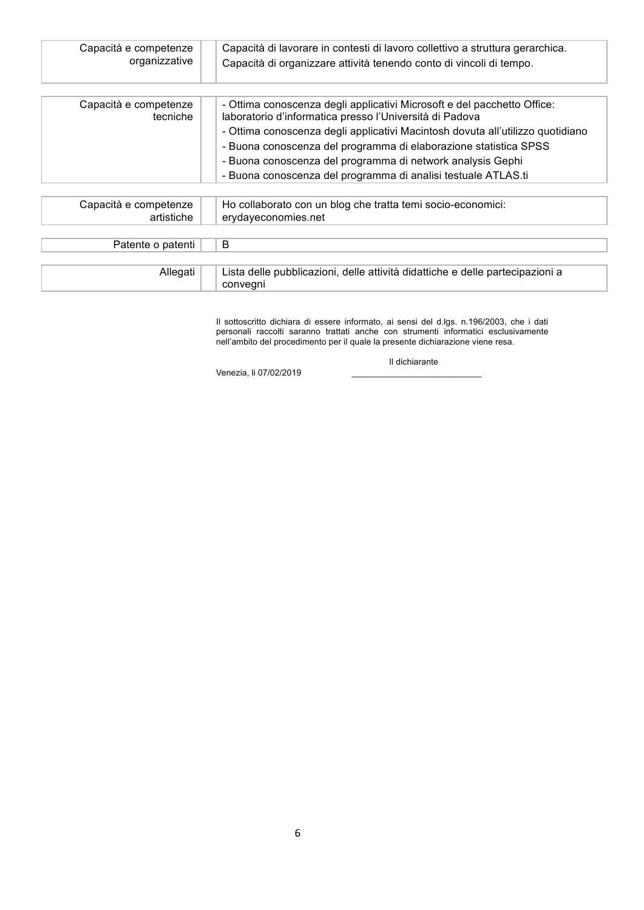| Capacità e competenze<br>organizzative | Capacità di lavorare in contesti di lavoro collettivo a struttura gerarchica.<br>Capacità di organizzare attività tenendo conto di vincoli di tempo. |
|----------------------------------------|------------------------------------------------------------------------------------------------------------------------------------------------------|
|                                        |                                                                                                                                                      |
| Capacità e competenze<br>tecniche      | - Ottima conoscenza degli applicativi Microsoft e del pacchetto Office:<br>laboratorio d'informatica presso l'Università di Padova                   |
|                                        | - Ottima conoscenza degli applicativi Macintosh dovuta all'utilizzo quotidiano                                                                       |
|                                        | - Buona conoscenza del programma di elaborazione statistica SPSS                                                                                     |
|                                        | - Buona conoscenza del programma di network analysis Gephi                                                                                           |
|                                        | - Buona conoscenza del programma di analisi testuale ATLAS.ti                                                                                        |
|                                        |                                                                                                                                                      |
| Capacità e competenze                  | Ho collaborato con un blog che tratta temi socio-economici:                                                                                          |
| artistiche                             | erydayeconomies.net                                                                                                                                  |
|                                        |                                                                                                                                                      |
| Patente o patenti                      | B                                                                                                                                                    |
|                                        |                                                                                                                                                      |
| Allegati                               | Lista delle pubblicazioni, delle attività didattiche e delle partecipazioni a<br>conveani                                                            |

Il sottoscritto dichiara di essere informato, ai sensi del d.lgs. n.196/2003, che i dati personali raccolti saranno trattati anche con strumenti informatici esclusivamente nell'ambito del procedimento per il quale la prese

Il dichiarante

Venezia, li 07/02/2019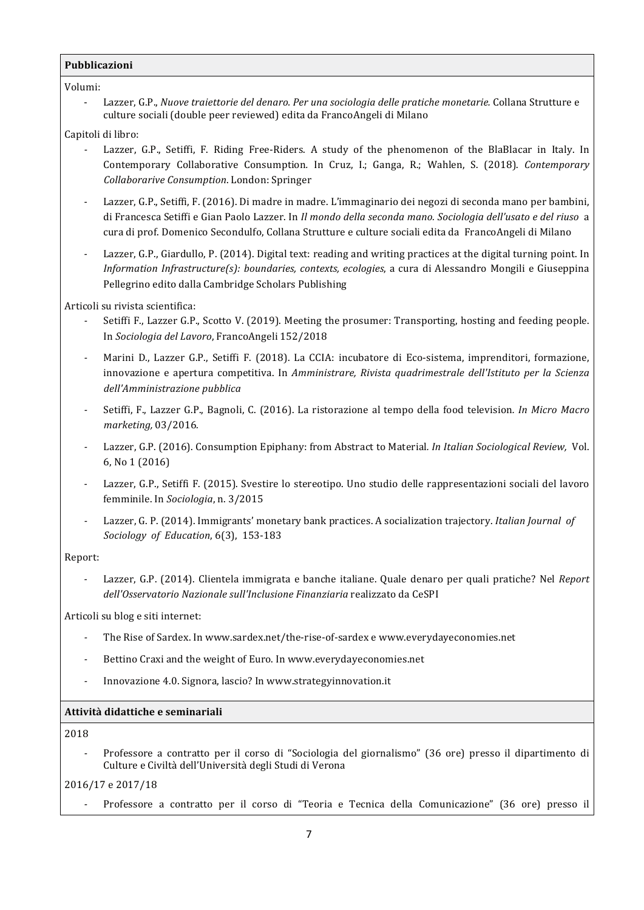### Pubblicazioni

Volumi:

Lazzer, G.P., Nuove traiettorie del denaro. Per una sociologia delle pratiche monetarie. Collana Strutture e culture sociali (double peer reviewed) edita da FrancoAngeli di Milano

#### Capitoli di libro:

- Lazzer, G.P., Setiffi, F. Riding Free-Riders. A study of the phenomenon of the BlaBlacar in Italy. In Contemporary Collaborative Consumption. In Cruz, I.; Ganga, R.; Wahlen, S. (2018). Contemporary Collaborarive Consumption. London: Springer
- Lazzer, G.P., Setiffi, F. (2016). Di madre in madre. L'immaginario dei negozi di seconda mano per bambini, di Francesca Setiffi e Gian Paolo Lazzer. In Il mondo della seconda mano. Sociologia dell'usato e del riuso a cura di prof. Domenico Secondulfo, Collana Strutture e culture sociali edita da FrancoAngeli di Milano
- Lazzer, G.P., Giardullo, P. (2014). Digital text: reading and writing practices at the digital turning point. In Information Infrastructure(s): boundaries, contexts, ecologies, a cura di Alessandro Mongili e Giuseppina Pellegrino edito dalla Cambridge Scholars Publishing

### Articoli su rivista scientifica:

- Setiffi F., Lazzer G.P., Scotto V. (2019). Meeting the prosumer: Transporting, hosting and feeding people. In Sociologia del Lavoro, FrancoAngeli 152/2018
- Marini D., Lazzer G.P., Setiffi F. (2018). La CCIA: incubatore di Eco-sistema, imprenditori, formazione, innovazione e apertura competitiva. In Amministrare, Rivista quadrimestrale dell'Istituto per la Scienza dell'Amministrazione pubblica
- Setiffi, F., Lazzer G.P., Bagnoli, C. (2016). La ristorazione al tempo della food television. In Micro Macro marketing, 03/2016.
- Lazzer, G.P. (2016). Consumption Epiphany: from Abstract to Material. In Italian Sociological Review, Vol. 6, No 1 (2016)
- Lazzer, G.P., Setiffi F. (2015). Svestire lo stereotipo. Uno studio delle rappresentazioni sociali del lavoro femminile. In Sociologia, n. 3/2015
- Lazzer, G. P. (2014). Immigrants' monetary bank practices. A socialization trajectory. Italian Journal of Sociology of Education, 6(3), 153-183

#### Report:

Lazzer, G.P. (2014). Clientela immigrata e banche italiane. Quale denaro per quali pratiche? Nel Report dell'Osservatorio Nazionale sull'Inclusione Finanziaria realizzato da CeSPI

Articoli su blog e siti internet:

- The Rise of Sardex. In www.sardex.net/the-rise-of-sardex e www.everydaveconomies.net
- Bettino Craxi and the weight of Euro. In www.everydayeconomies.net
- Innovazione 4.0. Signora, lascio? In www.strategyinnovation.it  $\overline{a}$

### Attività didattiche e seminariali

#### 2018

Professore a contratto per il corso di "Sociologia del giornalismo" (36 ore) presso il dipartimento di Culture e Civiltà dell'Università degli Studi di Verona

2016/17 e 2017/18

Professore a contratto per il corso di "Teoria e Tecnica della Comunicazione" (36 ore) presso il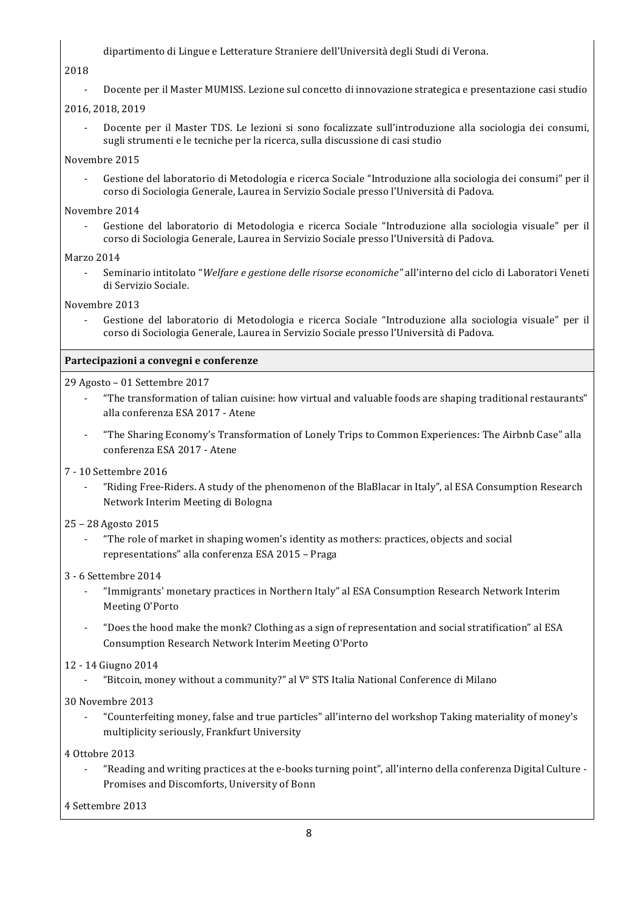dipartimento di Lingue e Letterature Straniere dell'Università degli Studi di Verona.

## 2018

Docente per il Master MUMISS. Lezione sul concetto di innovazione strategica e presentazione casi studio

# 2016, 2018, 2019

Docente per il Master TDS. Le lezioni si sono focalizzate sull'introduzione alla sociologia dei consumi, sugli strumenti e le tecniche per la ricerca, sulla discussione di casi studio

# Novembre 2015

Gestione del laboratorio di Metodologia e ricerca Sociale "Introduzione alla sociologia dei consumi" per il corso di Sociologia Generale, Laurea in Servizio Sociale presso l'Università di Padova.

## Novembre 2014

Gestione del laboratorio di Metodologia e ricerca Sociale "Introduzione alla sociologia visuale" per il corso di Sociologia Generale, Laurea in Servizio Sociale presso l'Università di Padova.

# **Marzo 2014**

Seminario intitolato "Welfare e gestione delle risorse economiche" all'interno del ciclo di Laboratori Veneti di Servizio Sociale.

## Novembre 2013

Gestione del laboratorio di Metodologia e ricerca Sociale "Introduzione alla sociologia visuale" per il corso di Sociologia Generale, Laurea in Servizio Sociale presso l'Università di Padova.

# Partecipazioni a convegni e conferenze

## 29 Agosto - 01 Settembre 2017

- "The transformation of talian cuisine: how virtual and valuable foods are shaping traditional restaurants" alla conferenza ESA 2017 - Atene
- "The Sharing Economy's Transformation of Lonely Trips to Common Experiences: The Airbnb Case" alla conferenza ESA 2017 - Atene

# 7 - 10 Settembre 2016

"Riding Free-Riders. A study of the phenomenon of the BlaBlacar in Italy", al ESA Consumption Research Network Interim Meeting di Bologna

# 25 - 28 Agosto 2015

"The role of market in shaping women's identity as mothers: practices, objects and social representations" alla conferenza ESA 2015 - Praga

# 3 - 6 Settembre 2014

- "Immigrants' monetary practices in Northern Italy" al ESA Consumption Research Network Interim Meeting O'Porto
- "Does the hood make the monk? Clothing as a sign of representation and social stratification" al ESA Consumption Research Network Interim Meeting O'Porto

# 12 - 14 Giugno 2014

"Bitcoin, money without a community?" al V° STS Italia National Conference di Milano

# 30 Novembre 2013

"Counterfeiting money, false and true particles" all'interno del workshop Taking materiality of money's multiplicity seriously, Frankfurt University

4 Ottobre 2013

"Reading and writing practices at the e-books turning point", all'interno della conferenza Digital Culture -Promises and Discomforts, University of Bonn

4 Settembre 2013